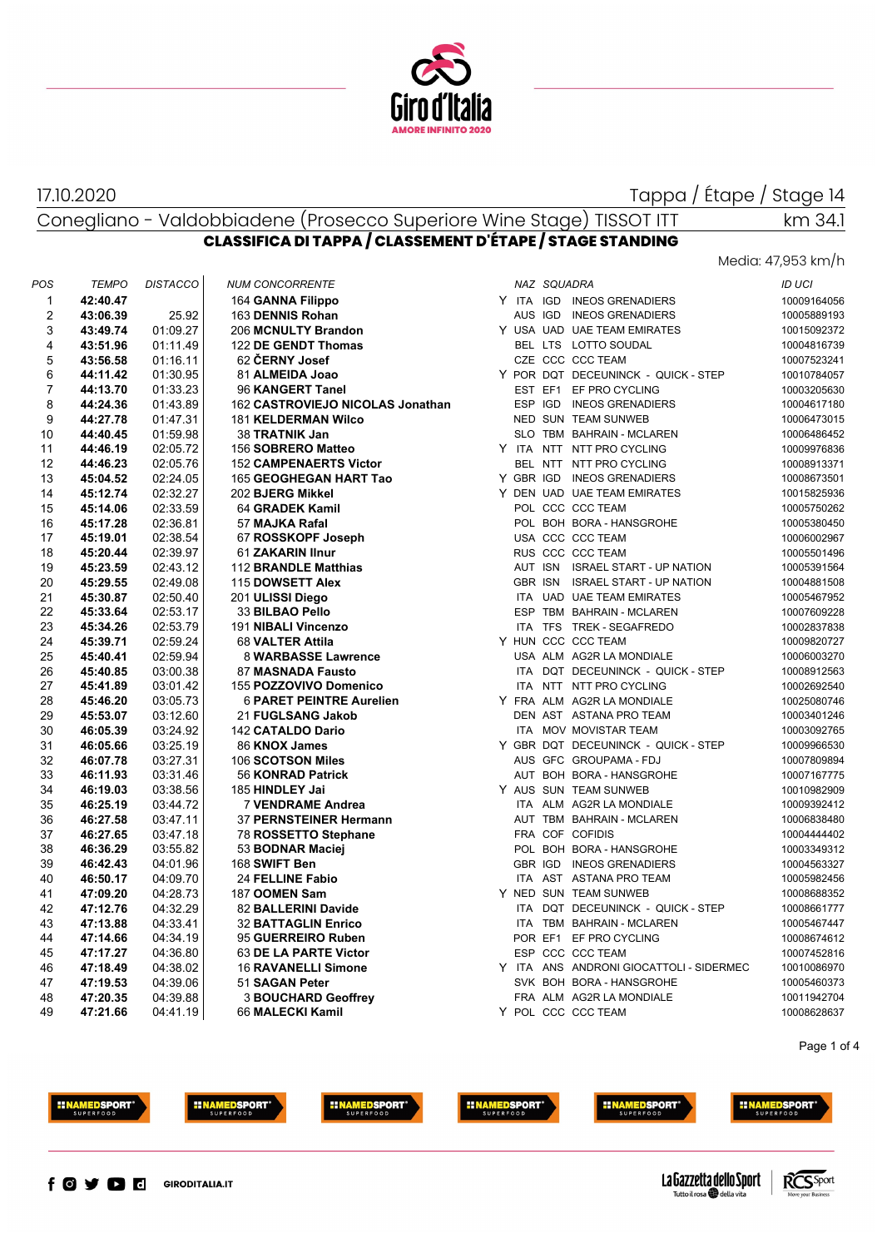

17.10.2020

Tappa / Étape / Stage 14

# Conegliano - Valdobbiadene (Prosecco Superiore Wine Stage) TISSOT ITT **CLASSIFICA DI TAPPA / CLASSEMENT D'ÉTAPE / STAGE STANDING**

#### Media: 47,953 km/h

km 34.1

| POS            | <b>TEMPO</b> | <b>DISTACCO</b> | <b>NUM CONCORRENTE</b>           |  | NAZ SQUADRA |                                         | ID UCI      |
|----------------|--------------|-----------------|----------------------------------|--|-------------|-----------------------------------------|-------------|
| 1              | 42:40.47     |                 | 164 GANNA Filippo                |  |             | Y ITA IGD INEOS GRENADIERS              | 10009164056 |
| 2              | 43:06.39     | 25.92           | 163 DENNIS Rohan                 |  |             | AUS IGD INEOS GRENADIERS                | 10005889193 |
| 3              | 43:49.74     | 01:09.27        | 206 MCNULTY Brandon              |  |             | Y USA UAD UAE TEAM EMIRATES             | 10015092372 |
| 4              | 43:51.96     | 01:11.49        | 122 DE GENDT Thomas              |  |             | BEL LTS LOTTO SOUDAL                    | 10004816739 |
| 5              | 43:56.58     | 01:16.11        | 62 ČERNY Josef                   |  |             | CZE CCC CCC TEAM                        | 10007523241 |
| 6              | 44:11.42     | 01:30.95        | 81 ALMEIDA Joao                  |  |             | Y POR DQT DECEUNINCK - QUICK - STEP     | 10010784057 |
| $\overline{7}$ | 44:13.70     | 01:33.23        | 96 KANGERT Tanel                 |  |             | EST EF1 EF PRO CYCLING                  | 10003205630 |
| 8              | 44:24.36     | 01:43.89        | 162 CASTROVIEJO NICOLAS Jonathan |  |             | ESP IGD INEOS GRENADIERS                | 10004617180 |
| 9              | 44:27.78     | 01:47.31        | <b>181 KELDERMAN Wilco</b>       |  |             | NED SUN TEAM SUNWEB                     | 10006473015 |
| 10             | 44:40.45     | 01:59.98        | 38 TRATNIK Jan                   |  |             | SLO TBM BAHRAIN - MCLAREN               | 10006486452 |
| 11             | 44:46.19     | 02:05.72        | 156 SOBRERO Matteo               |  |             | Y ITA NTT NTT PRO CYCLING               | 10009976836 |
| 12             | 44:46.23     | 02:05.76        | <b>152 CAMPENAERTS Victor</b>    |  |             | BEL NTT NTT PRO CYCLING                 | 10008913371 |
| 13             | 45:04.52     | 02:24.05        | 165 GEOGHEGAN HART Tao           |  |             | Y GBR IGD INEOS GRENADIERS              | 10008673501 |
| 14             | 45:12.74     | 02:32.27        | 202 BJERG Mikkel                 |  |             | Y DEN UAD UAE TEAM EMIRATES             | 10015825936 |
| 15             | 45:14.06     | 02:33.59        | 64 GRADEK Kamil                  |  |             | POL CCC CCC TEAM                        | 10005750262 |
| 16             | 45:17.28     | 02:36.81        | 57 MAJKA Rafal                   |  |             | POL BOH BORA - HANSGROHE                | 10005380450 |
| 17             | 45:19.01     | 02:38.54        | 67 ROSSKOPF Joseph               |  |             | USA CCC CCC TEAM                        | 10006002967 |
| 18             | 45:20.44     | 02:39.97        | 61 ZAKARIN IInur                 |  |             | RUS CCC CCC TEAM                        | 10005501496 |
| 19             | 45:23.59     | 02:43.12        | 112 BRANDLE Matthias             |  |             | AUT ISN ISRAEL START - UP NATION        | 10005391564 |
| 20             | 45:29.55     | 02:49.08        | 115 DOWSETT Alex                 |  |             | GBR ISN ISRAEL START - UP NATION        | 10004881508 |
| 21             | 45:30.87     | 02:50.40        | 201 ULISSI Diego                 |  |             | ITA UAD UAE TEAM EMIRATES               | 10005467952 |
| 22             | 45:33.64     | 02:53.17        | 33 BILBAO Pello                  |  |             | ESP TBM BAHRAIN - MCLAREN               | 10007609228 |
| 23             | 45:34.26     | 02:53.79        | 191 NIBALI Vincenzo              |  |             | ITA TFS TREK - SEGAFREDO                | 10002837838 |
| 24             | 45:39.71     | 02:59.24        | 68 VALTER Attila                 |  |             | Y HUN CCC CCC TEAM                      | 10009820727 |
| 25             | 45:40.41     | 02:59.94        | 8 WARBASSE Lawrence              |  |             | USA ALM AG2R LA MONDIALE                | 10006003270 |
| 26             | 45:40.85     | 03:00.38        | 87 MASNADA Fausto                |  |             | ITA DQT DECEUNINCK - QUICK - STEP       | 10008912563 |
| 27             | 45:41.89     | 03:01.42        | 155 POZZOVIVO Domenico           |  |             | ITA NTT NTT PRO CYCLING                 | 10002692540 |
| 28             | 45:46.20     | 03:05.73        | <b>6 PARET PEINTRE Aurelien</b>  |  |             | Y FRA ALM AG2R LA MONDIALE              | 10025080746 |
| 29             | 45:53.07     | 03:12.60        | 21 FUGLSANG Jakob                |  |             | DEN AST ASTANA PRO TEAM                 | 10003401246 |
| 30             | 46:05.39     | 03:24.92        | <b>142 CATALDO Dario</b>         |  |             | ITA MOV MOVISTAR TEAM                   | 10003092765 |
| 31             | 46:05.66     | 03:25.19        | 86 KNOX James                    |  |             | Y GBR DQT DECEUNINCK - QUICK - STEP     | 10009966530 |
| 32             | 46:07.78     | 03:27.31        | 106 SCOTSON Miles                |  |             | AUS GFC GROUPAMA - FDJ                  | 10007809894 |
| 33             | 46:11.93     | 03:31.46        | 56 KONRAD Patrick                |  |             | AUT BOH BORA - HANSGROHE                | 10007167775 |
| 34             | 46:19.03     | 03:38.56        | 185 HINDLEY Jai                  |  |             | Y AUS SUN TEAM SUNWEB                   | 10010982909 |
| 35             | 46:25.19     | 03:44.72        | 7 VENDRAME Andrea                |  |             | ITA ALM AG2R LA MONDIALE                | 10009392412 |
| 36             | 46:27.58     | 03:47.11        | 37 PERNSTEINER Hermann           |  |             | AUT TBM BAHRAIN - MCLAREN               | 10006838480 |
| 37             | 46:27.65     | 03:47.18        | 78 ROSSETTO Stephane             |  |             | FRA COF COFIDIS                         | 10004444402 |
| 38             | 46:36.29     | 03:55.82        | 53 BODNAR Maciej                 |  |             | POL BOH BORA - HANSGROHE                | 10003349312 |
| 39             | 46:42.43     | 04:01.96        | 168 SWIFT Ben                    |  |             | GBR IGD INEOS GRENADIERS                | 10004563327 |
| 40             | 46:50.17     | 04:09.70        | 24 FELLINE Fabio                 |  |             | ITA AST ASTANA PRO TEAM                 | 10005982456 |
| 41             | 47:09.20     | 04:28.73        | 187 OOMEN Sam                    |  |             | Y NED SUN TEAM SUNWEB                   | 10008688352 |
| 42             | 47:12.76     | 04:32.29        | 82 BALLERINI Davide              |  |             | ITA DQT DECEUNINCK - QUICK - STEP       | 10008661777 |
| 43             | 47:13.88     | 04:33.41        | <b>32 BATTAGLIN Enrico</b>       |  |             | ITA TBM BAHRAIN - MCLAREN               | 10005467447 |
| 44             | 47:14.66     | 04:34.19        | 95 GUERREIRO Ruben               |  |             | POR EF1 EF PRO CYCLING                  | 10008674612 |
| 45             | 47:17.27     | 04:36.80        | 63 DE LA PARTE Victor            |  |             | ESP CCC CCC TEAM                        | 10007452816 |
| 46             | 47:18.49     | 04:38.02        | <b>16 RAVANELLI Simone</b>       |  |             | Y ITA ANS ANDRONI GIOCATTOLI - SIDERMEC | 10010086970 |
| 47             | 47:19.53     | 04:39.06        | 51 SAGAN Peter                   |  |             | SVK BOH BORA - HANSGROHE                | 10005460373 |
| 48             | 47:20.35     | 04:39.88        | <b>3 BOUCHARD Geoffrey</b>       |  |             | FRA ALM AG2R LA MONDIALE                | 10011942704 |
| 49             | 47:21.66     | 04:41.19        | 66 MALECKI Kamil                 |  |             | Y POL CCC CCC TEAM                      | 10008628637 |
|                |              |                 |                                  |  |             |                                         |             |

Page 1 of 4







**INAMEDSPORT** 





**IINAMEDSPORT** 





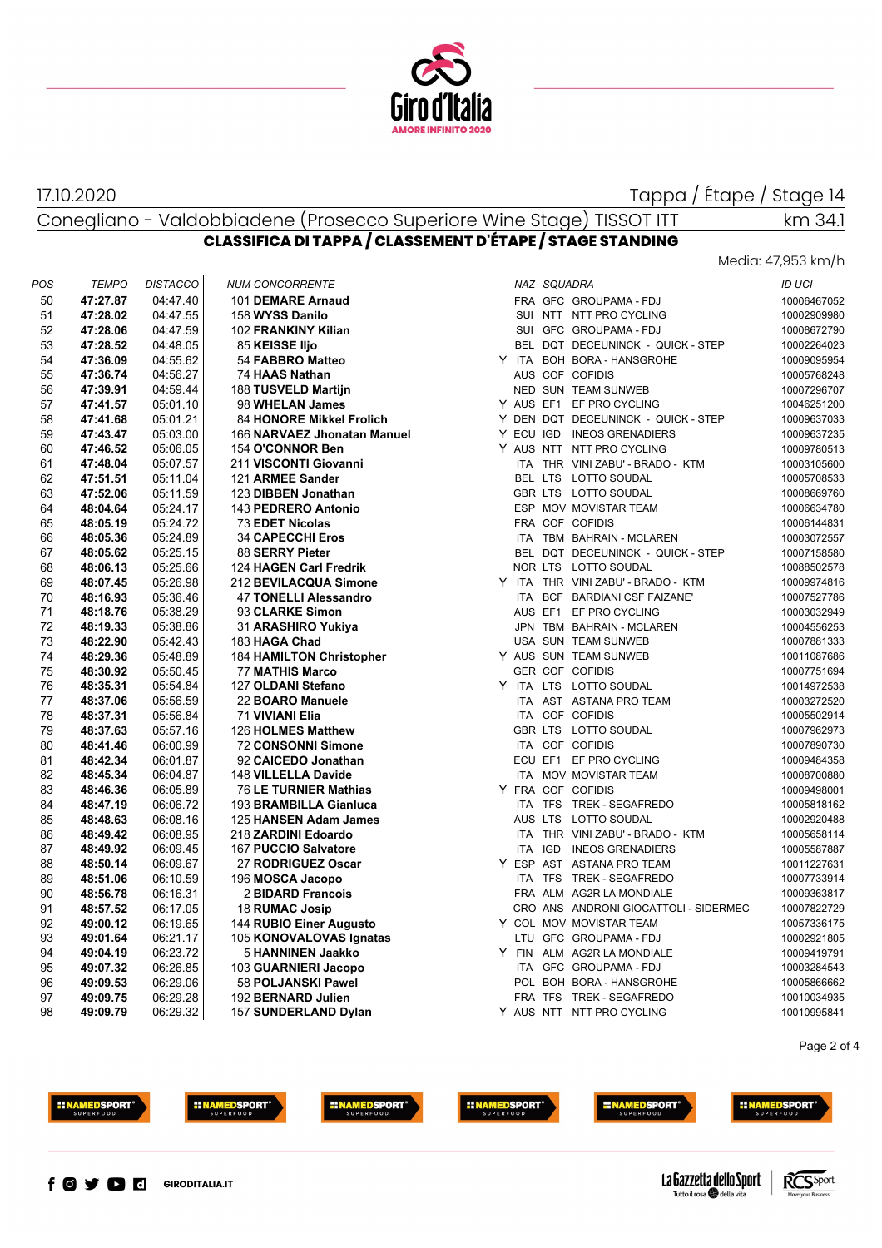

#### 17.10.2020

Tappa / Étape / Stage 14

Conegliano - Valdobbiadene (Prosecco Superiore Wine Stage) TISSOT ITT

# **CLASSIFICA DI TAPPA / CLASSEMENT D'ÉTAPE / STAGE STANDING**

Media: 47,953 km/h

km 34.1

| POS | <b>TEMPO</b> | <b>DISTACCO</b> | <b>NUM CONCORRENTE</b>      |  | NAZ SQUADRA                           | ID UCI      |
|-----|--------------|-----------------|-----------------------------|--|---------------------------------------|-------------|
| 50  | 47:27.87     | 04:47.40        | 101 DEMARE Arnaud           |  | FRA GFC GROUPAMA-FDJ                  | 10006467052 |
| 51  | 47:28.02     | 04:47.55        | 158 WYSS Danilo             |  | SUI NTT NTT PRO CYCLING               | 10002909980 |
| 52  | 47:28.06     | 04:47.59        | 102 FRANKINY Kilian         |  | SUI GFC GROUPAMA - FDJ                | 10008672790 |
| 53  | 47:28.52     | 04:48.05        | 85 KEISSE IIjo              |  | BEL DQT DECEUNINCK - QUICK - STEP     | 10002264023 |
| 54  | 47:36.09     | 04:55.62        | 54 FABBRO Matteo            |  | Y ITA BOH BORA - HANSGROHE            | 10009095954 |
| 55  | 47:36.74     | 04:56.27        | 74 HAAS Nathan              |  | AUS COF COFIDIS                       | 10005768248 |
| 56  | 47:39.91     | 04:59.44        | 188 TUSVELD Martijn         |  | NED SUN TEAM SUNWEB                   | 10007296707 |
| 57  | 47:41.57     | 05:01.10        | 98 WHELAN James             |  | Y AUS EF1 EF PRO CYCLING              | 10046251200 |
| 58  | 47:41.68     | 05:01.21        | 84 HONORE Mikkel Frolich    |  | Y DEN DQT DECEUNINCK - QUICK - STEP   | 10009637033 |
| 59  | 47:43.47     | 05:03.00        | 166 NARVAEZ Jhonatan Manuel |  | Y ECU IGD INEOS GRENADIERS            | 10009637235 |
| 60  | 47:46.52     | 05:06.05        | 154 O'CONNOR Ben            |  | Y AUS NTT NTT PRO CYCLING             | 10009780513 |
| 61  | 47:48.04     | 05:07.57        | 211 VISCONTI Giovanni       |  | ITA THR VINI ZABU' - BRADO - KTM      | 10003105600 |
| 62  | 47:51.51     | 05:11.04        | 121 ARMEE Sander            |  | BEL LTS LOTTO SOUDAL                  | 10005708533 |
| 63  | 47:52.06     | 05:11.59        | 123 DIBBEN Jonathan         |  | GBR LTS LOTTO SOUDAL                  | 10008669760 |
| 64  | 48:04.64     | 05:24.17        | 143 PEDRERO Antonio         |  | ESP MOV MOVISTAR TEAM                 | 10006634780 |
| 65  | 48:05.19     | 05:24.72        | 73 EDET Nicolas             |  | FRA COF COFIDIS                       | 10006144831 |
| 66  | 48:05.36     | 05:24.89        | <b>34 CAPECCHI Eros</b>     |  | ITA TBM BAHRAIN - MCLAREN             | 10003072557 |
| 67  | 48:05.62     | 05:25.15        | 88 SERRY Pieter             |  | BEL DQT DECEUNINCK - QUICK - STEP     | 10007158580 |
| 68  | 48:06.13     | 05:25.66        | 124 HAGEN Carl Fredrik      |  | NOR LTS LOTTO SOUDAL                  | 10088502578 |
| 69  | 48:07.45     | 05:26.98        | 212 BEVILACQUA Simone       |  | Y ITA THR VINI ZABU' - BRADO - KTM    | 10009974816 |
| 70  | 48:16.93     | 05:36:46        | 47 TONELLI Alessandro       |  | ITA BCF BARDIANI CSF FAIZANE'         | 10007527786 |
| 71  | 48:18.76     | 05:38.29        | 93 CLARKE Simon             |  | AUS EF1 EF PRO CYCLING                | 10003032949 |
| 72  | 48:19.33     | 05:38.86        | 31 ARASHIRO Yukiya          |  | JPN TBM BAHRAIN - MCLAREN             | 10004556253 |
| 73  | 48:22.90     | 05:42.43        | 183 HAGA Chad               |  | USA SUN TEAM SUNWEB                   | 10007881333 |
| 74  | 48:29.36     | 05:48.89        | 184 HAMILTON Christopher    |  | Y AUS SUN TEAM SUNWEB                 | 10011087686 |
| 75  | 48:30.92     | 05:50:45        | 77 MATHIS Marco             |  | <b>GER COF COFIDIS</b>                | 10007751694 |
| 76  | 48:35.31     | 05:54.84        | 127 OLDANI Stefano          |  | Y ITA LTS LOTTO SOUDAL                | 10014972538 |
| 77  | 48:37.06     | 05:56.59        | 22 BOARO Manuele            |  | ITA AST ASTANA PRO TEAM               | 10003272520 |
| 78  | 48:37.31     | 05:56.84        | 71 VIVIANI Elia             |  | ITA COF COFIDIS                       | 10005502914 |
| 79  | 48:37.63     | 05:57.16        | 126 HOLMES Matthew          |  | GBR LTS LOTTO SOUDAL                  | 10007962973 |
| 80  | 48:41.46     | 06:00.99        | 72 CONSONNI Simone          |  | ITA COF COFIDIS                       | 10007890730 |
| 81  | 48:42.34     | 06:01.87        | 92 CAICEDO Jonathan         |  | ECU EF1 EF PRO CYCLING                | 10009484358 |
| 82  | 48:45.34     | 06:04.87        | 148 VILLELLA Davide         |  | ITA MOV MOVISTAR TEAM                 | 10008700880 |
| 83  | 48:46.36     | 06:05.89        | 76 LE TURNIER Mathias       |  | Y FRA COF COFIDIS                     | 10009498001 |
| 84  | 48:47.19     | 06:06.72        | 193 BRAMBILLA Gianluca      |  | ITA TFS TREK - SEGAFREDO              | 10005818162 |
| 85  | 48:48.63     | 06:08.16        | 125 HANSEN Adam James       |  | AUS LTS LOTTO SOUDAL                  | 10002920488 |
| 86  | 48:49.42     | 06:08.95        | 218 ZARDINI Edoardo         |  | ITA THR VINI ZABU' - BRADO - KTM      | 10005658114 |
| 87  | 48:49.92     | 06:09.45        | 167 PUCCIO Salvatore        |  | ITA IGD INEOS GRENADIERS              | 10005587887 |
| 88  | 48:50.14     | 06:09.67        | 27 RODRIGUEZ Oscar          |  | Y ESP AST ASTANA PRO TEAM             | 10011227631 |
| 89  | 48:51.06     | 06:10.59        | 196 MOSCA Jacopo            |  | ITA TFS TREK - SEGAFREDO              | 10007733914 |
| 90  | 48:56.78     | 06:16.31        | 2 BIDARD Francois           |  | FRA ALM AG2R LA MONDIALE              | 10009363817 |
| 91  | 48:57.52     | 06:17.05        | 18 RUMAC Josip              |  | CRO ANS ANDRONI GIOCATTOLI - SIDERMEC | 10007822729 |
| 92  | 49:00.12     | 06:19.65        | 144 RUBIO Einer Augusto     |  | Y COL MOV MOVISTAR TEAM               | 10057336175 |
| 93  | 49:01.64     | 06:21.17        | 105 KONOVALOVAS Ignatas     |  | LTU GFC GROUPAMA - FDJ                | 10002921805 |
| 94  | 49:04.19     | 06:23.72        | 5 HANNINEN Jaakko           |  | Y FIN ALM AG2R LA MONDIALE            | 10009419791 |
| 95  | 49:07.32     | 06:26.85        | 103 GUARNIERI Jacopo        |  | ITA GFC GROUPAMA - FDJ                | 10003284543 |
| 96  | 49:09.53     | 06:29.06        | 58 POLJANSKI Pawel          |  | POL BOH BORA - HANSGROHE              | 10005866662 |
| 97  | 49:09.75     | 06:29.28        | 192 BERNARD Julien          |  | FRA TFS TREK - SEGAFREDO              | 10010034935 |
| 98  | 49:09.79     | 06:29.32        | 157 SUNDERLAND Dylan        |  | Y AUS NTT NTT PRO CYCLING             | 10010995841 |
|     |              |                 |                             |  |                                       |             |

Page 2 of 4







**EINAMEDSPORT** 







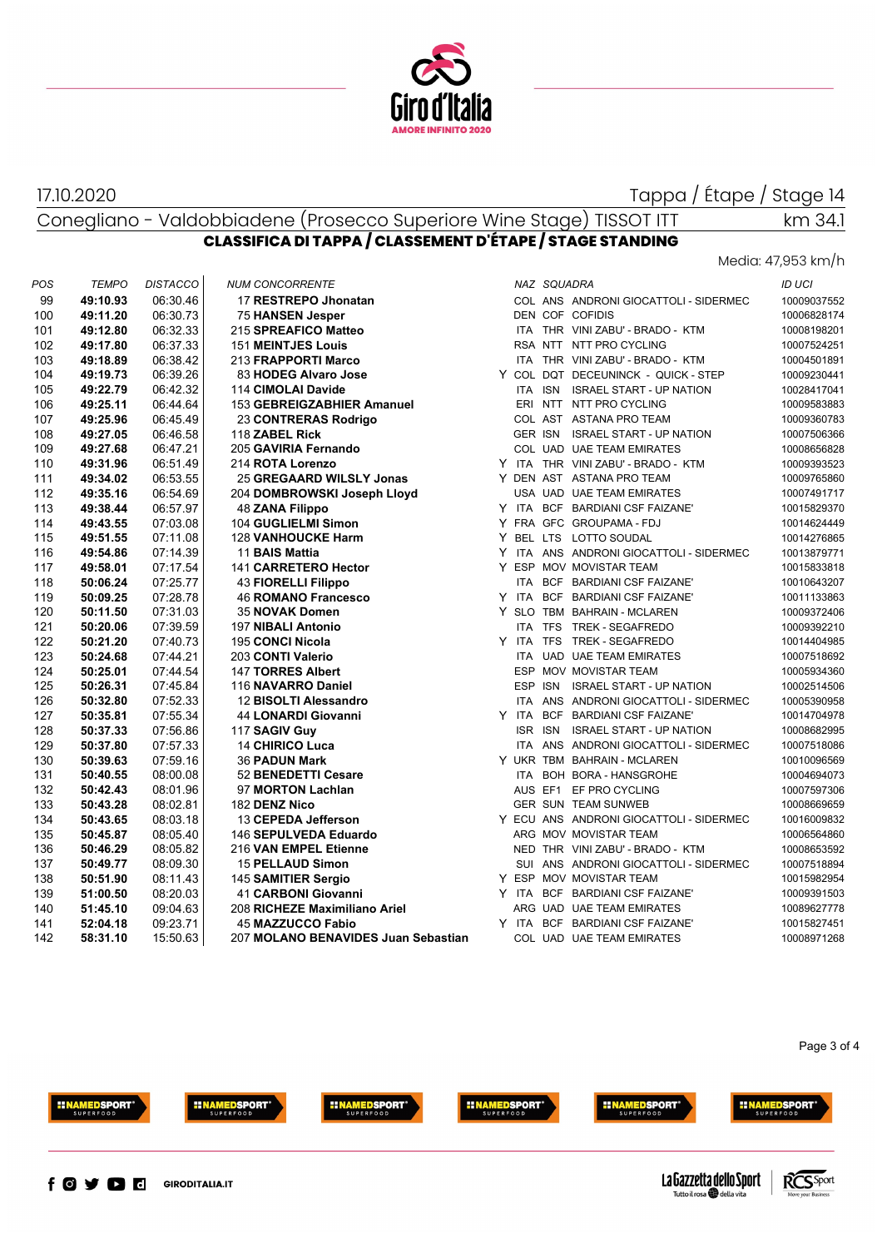

### 17.10.2020

# Tappa / Étape / Stage 14

km 34.1

#### Conegliano - Valdobbiadene (Prosecco Superiore Wine Stage) TISSOT ITT **CLASSIFICA DI TAPPA / CLASSEMENT D'ÉTAPE / STAGE STANDING**

Media: 47,953 km/h

| POS | <b>TEMPO</b> | <b>DISTACCO</b> | <b>NUM CONCORRENTE</b>              |  | NAZ SQUADRA |                                         | <b>ID UCI</b> |
|-----|--------------|-----------------|-------------------------------------|--|-------------|-----------------------------------------|---------------|
| 99  | 49:10.93     | 06:30.46        | 17 RESTREPO Jhonatan                |  |             | COL ANS ANDRONI GIOCATTOLI - SIDERMEC   | 10009037552   |
| 100 | 49:11.20     | 06:30.73        | <b>75 HANSEN Jesper</b>             |  |             | DEN COF COFIDIS                         | 10006828174   |
| 101 | 49:12.80     | 06:32.33        | 215 SPREAFICO Matteo                |  |             | ITA THR VINI ZABU' - BRADO - KTM        | 10008198201   |
| 102 | 49:17.80     | 06:37.33        | <b>151 MEINTJES Louis</b>           |  |             | RSA NTT NTT PRO CYCLING                 | 10007524251   |
| 103 | 49:18.89     | 06:38.42        | 213 FRAPPORTI Marco                 |  |             | ITA THR VINI ZABU' - BRADO - KTM        | 10004501891   |
| 104 | 49:19.73     | 06:39.26        | 83 HODEG Alvaro Jose                |  |             | Y COL DQT DECEUNINCK - QUICK - STEP     | 10009230441   |
| 105 | 49:22.79     | 06:42.32        | 114 CIMOLAI Davide                  |  |             | ITA ISN ISRAEL START - UP NATION        | 10028417041   |
| 106 | 49:25.11     | 06:44.64        | 153 GEBREIGZABHIER Amanuel          |  |             | ERI NTT NTT PRO CYCLING                 | 10009583883   |
| 107 | 49:25.96     | 06:45.49        | 23 CONTRERAS Rodrigo                |  |             | COL AST ASTANA PRO TEAM                 | 10009360783   |
| 108 | 49:27.05     | 06:46.58        | 118 ZABEL Rick                      |  |             | GER ISN ISRAEL START - UP NATION        | 10007506366   |
| 109 | 49:27.68     | 06:47.21        | 205 GAVIRIA Fernando                |  |             | COL UAD UAE TEAM EMIRATES               | 10008656828   |
| 110 | 49:31.96     | 06:51.49        | 214 ROTA Lorenzo                    |  |             | Y ITA THR VINI ZABU' - BRADO - KTM      | 10009393523   |
| 111 | 49:34.02     | 06:53.55        | 25 GREGAARD WILSLY Jonas            |  |             | Y DEN AST ASTANA PRO TEAM               | 10009765860   |
| 112 | 49:35.16     | 06:54.69        | 204 DOMBROWSKI Joseph Lloyd         |  |             | USA UAD UAE TEAM EMIRATES               | 10007491717   |
| 113 | 49:38.44     | 06:57.97        | 48 ZANA Filippo                     |  |             | Y ITA BCF BARDIANI CSF FAIZANE'         | 10015829370   |
| 114 | 49:43.55     | 07:03.08        | 104 GUGLIELMI Simon                 |  |             | Y FRA GFC GROUPAMA-FDJ                  | 10014624449   |
| 115 | 49:51.55     | 07:11.08        | <b>128 VANHOUCKE Harm</b>           |  |             | Y BEL LTS LOTTO SOUDAL                  | 10014276865   |
| 116 | 49:54.86     | 07:14.39        | 11 BAIS Mattia                      |  |             | Y ITA ANS ANDRONI GIOCATTOLI - SIDERMEC | 10013879771   |
| 117 | 49:58.01     | 07:17.54        | 141 CARRETERO Hector                |  |             | Y ESP MOV MOVISTAR TEAM                 | 10015833818   |
| 118 | 50:06.24     | 07:25.77        | 43 FIORELLI Filippo                 |  |             | ITA BCF BARDIANI CSF FAIZANE'           | 10010643207   |
| 119 | 50:09.25     | 07:28.78        | <b>46 ROMANO Francesco</b>          |  |             | Y ITA BCF BARDIANI CSF FAIZANE'         | 10011133863   |
| 120 | 50:11.50     | 07:31.03        | 35 NOVAK Domen                      |  |             | Y SLO TBM BAHRAIN - MCLAREN             | 10009372406   |
| 121 | 50:20.06     | 07:39.59        | 197 NIBALI Antonio                  |  |             | ITA TFS TREK - SEGAFREDO                | 10009392210   |
| 122 | 50:21.20     | 07:40.73        | 195 CONCI Nicola                    |  |             | Y ITA TFS TREK - SEGAFREDO              | 10014404985   |
| 123 | 50:24.68     | 07:44.21        | 203 CONTI Valerio                   |  |             | ITA UAD UAE TEAM EMIRATES               | 10007518692   |
| 124 | 50:25.01     | 07:44.54        | 147 TORRES Albert                   |  |             | ESP MOV MOVISTAR TEAM                   | 10005934360   |
| 125 | 50:26.31     | 07:45.84        | 116 NAVARRO Daniel                  |  |             | ESP ISN ISRAEL START - UP NATION        | 10002514506   |
| 126 | 50:32.80     | 07:52.33        | 12 BISOLTI Alessandro               |  |             | ITA ANS ANDRONI GIOCATTOLI - SIDERMEC   | 10005390958   |
| 127 | 50:35.81     | 07:55.34        | 44 LONARDI Giovanni                 |  |             | Y ITA BCF BARDIANI CSF FAIZANE'         | 10014704978   |
| 128 | 50:37.33     | 07:56.86        | 117 SAGIV Guy                       |  | ISR ISN     | <b>ISRAEL START - UP NATION</b>         | 10008682995   |
| 129 | 50:37.80     | 07:57.33        | <b>14 CHIRICO Luca</b>              |  |             | ITA ANS ANDRONI GIOCATTOLI - SIDERMEC   | 10007518086   |
| 130 | 50:39.63     | 07:59.16        | <b>36 PADUN Mark</b>                |  |             | Y UKR TBM BAHRAIN - MCLAREN             | 10010096569   |
| 131 | 50:40.55     | 08:00.08        | 52 BENEDETTI Cesare                 |  |             | ITA BOH BORA - HANSGROHE                | 10004694073   |
| 132 | 50:42.43     | 08:01.96        | 97 MORTON Lachlan                   |  |             | AUS EF1 EF PRO CYCLING                  | 10007597306   |
| 133 | 50:43.28     | 08:02.81        | 182 DENZ Nico                       |  |             | <b>GER SUN TEAM SUNWEB</b>              | 10008669659   |
| 134 | 50:43.65     | 08:03.18        | 13 CEPEDA Jefferson                 |  |             | Y ECU ANS ANDRONI GIOCATTOLI - SIDERMEC | 10016009832   |
| 135 | 50:45.87     | 08:05.40        | 146 SEPULVEDA Eduardo               |  |             | ARG MOV MOVISTAR TEAM                   | 10006564860   |
| 136 | 50:46.29     | 08:05.82        | 216 VAN EMPEL Etienne               |  |             | NED THR VINI ZABU' - BRADO - KTM        | 10008653592   |
| 137 | 50:49.77     | 08:09.30        | <b>15 PELLAUD Simon</b>             |  |             | SUI ANS ANDRONI GIOCATTOLI - SIDERMEC   | 10007518894   |
| 138 | 50:51.90     | 08:11.43        | 145 SAMITIER Sergio                 |  |             | Y ESP MOV MOVISTAR TEAM                 | 10015982954   |
| 139 | 51:00.50     | 08:20.03        | 41 CARBONI Giovanni                 |  |             | Y ITA BCF BARDIANI CSF FAIZANE'         | 10009391503   |
| 140 | 51:45.10     | 09:04.63        | 208 RICHEZE Maximiliano Ariel       |  |             | ARG UAD UAE TEAM EMIRATES               | 10089627778   |
| 141 | 52:04.18     | 09:23.71        | <b>45 MAZZUCCO Fabio</b>            |  |             | Y ITA BCF BARDIANI CSF FAIZANE'         | 10015827451   |
| 142 | 58:31.10     | 15:50.63        | 207 MOLANO BENAVIDES Juan Sebastian |  |             | COL UAD UAE TEAM EMIRATES               | 10008971268   |
|     |              |                 |                                     |  |             |                                         |               |

#### Page 3 of 4













**HINAMEDSPORT**